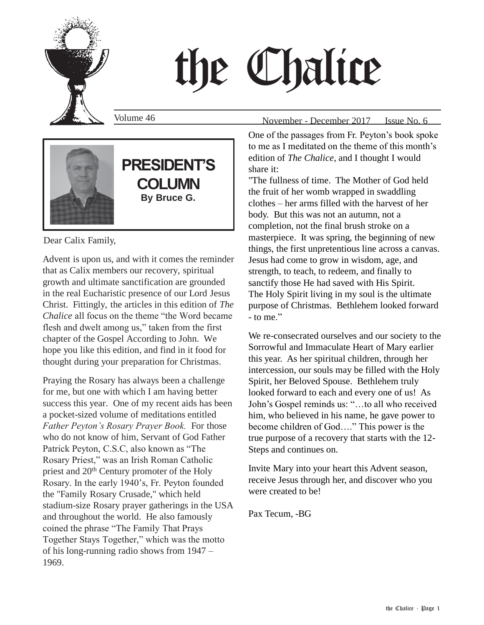

# the Chalice

Volume 46

November - December 2017 Issue No. 6



# **PRESIDENT'S COLUMN By Bruce G.**

Dear Calix Family,

Advent is upon us, and with it comes the reminder that as Calix members our recovery, spiritual growth and ultimate sanctification are grounded in the real Eucharistic presence of our Lord Jesus Christ. Fittingly, the articles in this edition of *The Chalice* all focus on the theme "the Word became" flesh and dwelt among us," taken from the first chapter of the Gospel According to John. We hope you like this edition, and find in it food for thought during your preparation for Christmas.

Praying the Rosary has always been a challenge for me, but one with which I am having better success this year. One of my recent aids has been a pocket-sized volume of meditations entitled *Father Peyton's Rosary Prayer Book.* For those who do not know of him, Servant of God Father Patrick Peyton, C.S.C, also known as "The Rosary Priest," was an Irish Roman Catholic priest and 20th Century promoter of the Holy Rosary. In the early 1940's, Fr. Peyton founded the "Family Rosary Crusade," which held stadium-size Rosary prayer gatherings in the USA and throughout the world. He also famously coined the phrase "The Family That Prays Together Stays Together," which was the motto of his long-running radio shows from 1947 – 1969.

One of the passages from Fr. Peyton's book spoke to me as I meditated on the theme of this month's edition of *The Chalice*, and I thought I would share it:

"The fullness of time. The Mother of God held the fruit of her womb wrapped in swaddling clothes – her arms filled with the harvest of her body. But this was not an autumn, not a completion, not the final brush stroke on a masterpiece. It was spring, the beginning of new things, the first unpretentious line across a canvas. Jesus had come to grow in wisdom, age, and strength, to teach, to redeem, and finally to sanctify those He had saved with His Spirit. The Holy Spirit living in my soul is the ultimate purpose of Christmas. Bethlehem looked forward - to me."

We re-consecrated ourselves and our society to the Sorrowful and Immaculate Heart of Mary earlier this year. As her spiritual children, through her intercession, our souls may be filled with the Holy Spirit, her Beloved Spouse. Bethlehem truly looked forward to each and every one of us! As John's Gospel reminds us: "…to all who received him, who believed in his name, he gave power to become children of God…." This power is the true purpose of a recovery that starts with the 12- Steps and continues on.

Invite Mary into your heart this Advent season, receive Jesus through her, and discover who you were created to be!

Pax Tecum, -BG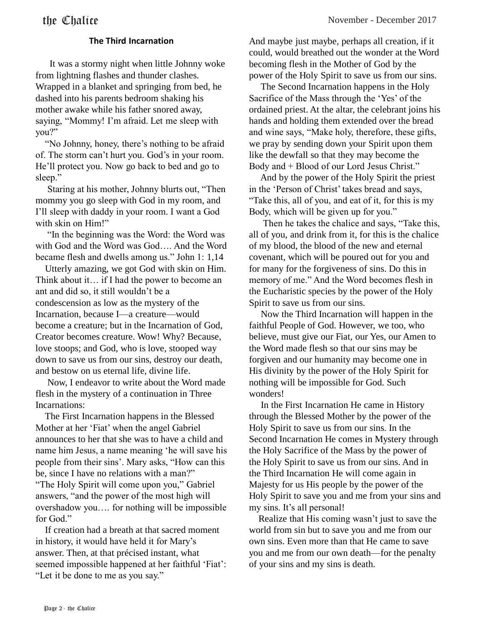#### **The Third Incarnation**

 It was a stormy night when little Johnny woke from lightning flashes and thunder clashes. Wrapped in a blanket and springing from bed, he dashed into his parents bedroom shaking his mother awake while his father snored away, saying, "Mommy! I'm afraid. Let me sleep with you?"

 "No Johnny, honey, there's nothing to be afraid of. The storm can't hurt you. God's in your room. He'll protect you. Now go back to bed and go to sleep."

 Staring at his mother, Johnny blurts out, "Then mommy you go sleep with God in my room, and I'll sleep with daddy in your room. I want a God with skin on Him!"

 "In the beginning was the Word: the Word was with God and the Word was God…. And the Word became flesh and dwells among us." John 1: 1,14

 Utterly amazing, we got God with skin on Him. Think about it… if I had the power to become an ant and did so, it still wouldn't be a condescension as low as the mystery of the Incarnation, because I—a creature—would become a creature; but in the Incarnation of God, Creator becomes creature. Wow! Why? Because, love stoops; and God, who is love, stooped way down to save us from our sins, destroy our death, and bestow on us eternal life, divine life.

 Now, I endeavor to write about the Word made flesh in the mystery of a continuation in Three Incarnations:

 The First Incarnation happens in the Blessed Mother at her 'Fiat' when the angel Gabriel announces to her that she was to have a child and name him Jesus, a name meaning 'he will save his people from their sins'. Mary asks, "How can this be, since I have no relations with a man?" "The Holy Spirit will come upon you," Gabriel answers, "and the power of the most high will overshadow you…. for nothing will be impossible for God."

 If creation had a breath at that sacred moment in history, it would have held it for Mary's answer. Then, at that précised instant, what seemed impossible happened at her faithful 'Fiat': "Let it be done to me as you say."

And maybe just maybe, perhaps all creation, if it could, would breathed out the wonder at the Word becoming flesh in the Mother of God by the power of the Holy Spirit to save us from our sins.

 The Second Incarnation happens in the Holy Sacrifice of the Mass through the 'Yes' of the ordained priest. At the altar, the celebrant joins his hands and holding them extended over the bread and wine says, "Make holy, therefore, these gifts, we pray by sending down your Spirit upon them like the dewfall so that they may become the Body and + Blood of our Lord Jesus Christ."

 And by the power of the Holy Spirit the priest in the 'Person of Christ' takes bread and says, "Take this, all of you, and eat of it, for this is my Body, which will be given up for you."

 Then he takes the chalice and says, "Take this, all of you, and drink from it, for this is the chalice of my blood, the blood of the new and eternal covenant, which will be poured out for you and for many for the forgiveness of sins. Do this in memory of me." And the Word becomes flesh in the Eucharistic species by the power of the Holy Spirit to save us from our sins.

 Now the Third Incarnation will happen in the faithful People of God. However, we too, who believe, must give our Fiat, our Yes, our Amen to the Word made flesh so that our sins may be forgiven and our humanity may become one in His divinity by the power of the Holy Spirit for nothing will be impossible for God. Such wonders!

 In the First Incarnation He came in History through the Blessed Mother by the power of the Holy Spirit to save us from our sins. In the Second Incarnation He comes in Mystery through the Holy Sacrifice of the Mass by the power of the Holy Spirit to save us from our sins. And in the Third Incarnation He will come again in Majesty for us His people by the power of the Holy Spirit to save you and me from your sins and my sins. It's all personal!

 Realize that His coming wasn't just to save the world from sin but to save you and me from our own sins. Even more than that He came to save you and me from our own death—for the penalty of your sins and my sins is death.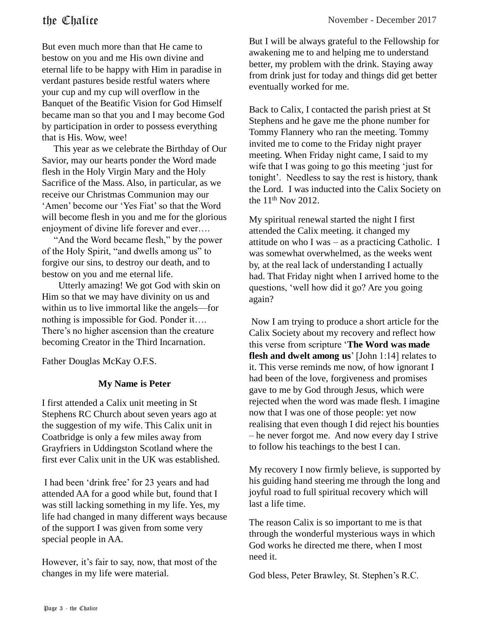But even much more than that He came to bestow on you and me His own divine and eternal life to be happy with Him in paradise in verdant pastures beside restful waters where your cup and my cup will overflow in the Banquet of the Beatific Vision for God Himself became man so that you and I may become God by participation in order to possess everything that is His. Wow, wee!

 This year as we celebrate the Birthday of Our Savior, may our hearts ponder the Word made flesh in the Holy Virgin Mary and the Holy Sacrifice of the Mass. Also, in particular, as we receive our Christmas Communion may our 'Amen' become our 'Yes Fiat' so that the Word will become flesh in you and me for the glorious enjoyment of divine life forever and ever….

 "And the Word became flesh," by the power of the Holy Spirit, "and dwells among us" to forgive our sins, to destroy our death, and to bestow on you and me eternal life.

 Utterly amazing! We got God with skin on Him so that we may have divinity on us and within us to live immortal like the angels—for nothing is impossible for God. Ponder it…. There's no higher ascension than the creature becoming Creator in the Third Incarnation.

Father Douglas McKay O.F.S.

#### **My Name is Peter**

I first attended a Calix unit meeting in St Stephens RC Church about seven years ago at the suggestion of my wife. This Calix unit in Coatbridge is only a few miles away from Grayfriers in Uddingston Scotland where the first ever Calix unit in the UK was established.

I had been 'drink free' for 23 years and had attended AA for a good while but, found that I was still lacking something in my life. Yes, my life had changed in many different ways because of the support I was given from some very special people in AA.

However, it's fair to say, now, that most of the changes in my life were material.

But I will be always grateful to the Fellowship for awakening me to and helping me to understand better, my problem with the drink. Staying away from drink just for today and things did get better eventually worked for me.

Back to Calix, I contacted the parish priest at St Stephens and he gave me the phone number for Tommy Flannery who ran the meeting. Tommy invited me to come to the Friday night prayer meeting. When Friday night came, I said to my wife that I was going to go this meeting 'just for tonight'. Needless to say the rest is history, thank the Lord. I was inducted into the Calix Society on the  $11^{th}$  Nov 2012.

My spiritual renewal started the night I first attended the Calix meeting. it changed my attitude on who I was – as a practicing Catholic. I was somewhat overwhelmed, as the weeks went by, at the real lack of understanding I actually had. That Friday night when I arrived home to the questions, 'well how did it go? Are you going again?

Now I am trying to produce a short article for the Calix Society about my recovery and reflect how this verse from scripture '**The Word was made flesh and dwelt among us**' [John 1:14] relates to it. This verse reminds me now, of how ignorant I had been of the love, forgiveness and promises gave to me by God through Jesus, which were rejected when the word was made flesh. I imagine now that I was one of those people: yet now realising that even though I did reject his bounties – he never forgot me. And now every day I strive to follow his teachings to the best I can.

My recovery I now firmly believe, is supported by his guiding hand steering me through the long and joyful road to full spiritual recovery which will last a life time.

The reason Calix is so important to me is that through the wonderful mysterious ways in which God works he directed me there, when I most need it.

God bless, Peter Brawley, St. Stephen's R.C.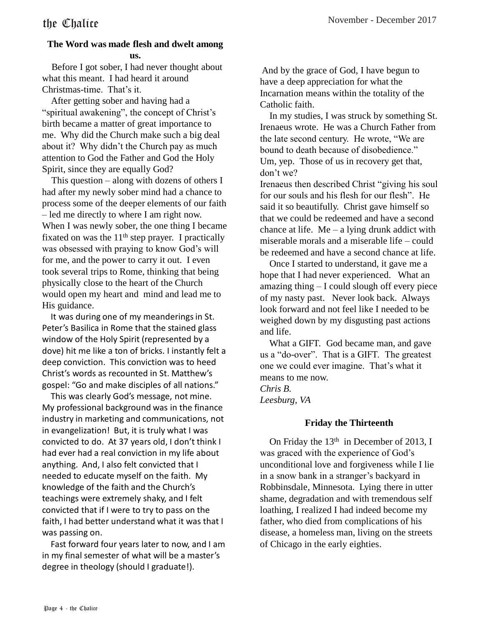#### **The Word was made flesh and dwelt among us.**

 Before I got sober, I had never thought about what this meant. I had heard it around Christmas-time. That's it.

 After getting sober and having had a "spiritual awakening", the concept of Christ's birth became a matter of great importance to me. Why did the Church make such a big deal about it? Why didn't the Church pay as much attention to God the Father and God the Holy Spirit, since they are equally God?

 This question – along with dozens of others I had after my newly sober mind had a chance to process some of the deeper elements of our faith – led me directly to where I am right now. When I was newly sober, the one thing I became fixated on was the  $11<sup>th</sup>$  step prayer. I practically was obsessed with praying to know God's will for me, and the power to carry it out. I even took several trips to Rome, thinking that being physically close to the heart of the Church would open my heart and mind and lead me to His guidance.

 It was during one of my meanderings in St. Peter's Basilica in Rome that the stained glass window of the Holy Spirit (represented by a dove) hit me like a ton of bricks. I instantly felt a deep conviction. This conviction was to heed Christ's words as recounted in St. Matthew's gospel: "Go and make disciples of all nations."

 This was clearly God's message, not mine. My professional background was in the finance industry in marketing and communications, not in evangelization! But, it is truly what I was convicted to do. At 37 years old, I don't think I had ever had a real conviction in my life about anything. And, I also felt convicted that I needed to educate myself on the faith. My knowledge of the faith and the Church's teachings were extremely shaky, and I felt convicted that if I were to try to pass on the faith, I had better understand what it was that I was passing on.

 Fast forward four years later to now, and I am in my final semester of what will be a master's degree in theology (should I graduate!).

And by the grace of God, I have begun to have a deep appreciation for what the Incarnation means within the totality of the Catholic faith.

 In my studies, I was struck by something St. Irenaeus wrote. He was a Church Father from the late second century. He wrote, "We are bound to death because of disobedience." Um, yep. Those of us in recovery get that, don't we?

Irenaeus then described Christ "giving his soul for our souls and his flesh for our flesh". He said it so beautifully. Christ gave himself so that we could be redeemed and have a second chance at life. Me – a lying drunk addict with miserable morals and a miserable life – could be redeemed and have a second chance at life.

 Once I started to understand, it gave me a hope that I had never experienced. What an amazing thing – I could slough off every piece of my nasty past. Never look back. Always look forward and not feel like I needed to be weighed down by my disgusting past actions and life.

 What a GIFT. God became man, and gave us a "do-over". That is a GIFT. The greatest one we could ever imagine. That's what it means to me now. *Chris B. Leesburg, VA*

#### **Friday the Thirteenth**

On Friday the  $13<sup>th</sup>$  in December of 2013, I was graced with the experience of God's unconditional love and forgiveness while I lie in a snow bank in a stranger's backyard in Robbinsdale, Minnesota. Lying there in utter shame, degradation and with tremendous self loathing, I realized I had indeed become my father, who died from complications of his disease, a homeless man, living on the streets of Chicago in the early eighties.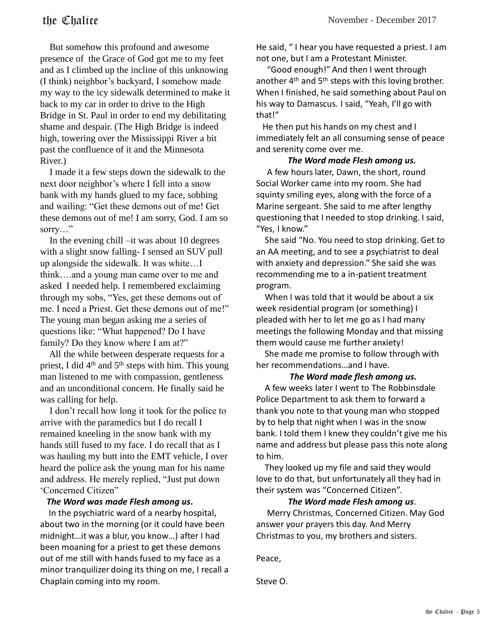But somehow this profound and awesome presence of the Grace of God got me to my feet and as I climbed up the incline of this unknowing (I think) neighbor's backyard, I somehow made my way to the icy sidewalk determined to make it back to my car in order to drive to the High Bridge in St. Paul in order to end my debilitating shame and despair. (The High Bridge is indeed high, towering over the Mississippi River a bit past the confluence of it and the Minnesota River.)

 I made it a few steps down the sidewalk to the next door neighbor's where I fell into a snow bank with my hands glued to my face, sobbing and wailing: "Get these demons out of me! Get these demons out of me! I am sorry, God. I am so sorry…"

 In the evening chill –it was about 10 degrees with a slight snow falling- I sensed an SUV pull up alongside the sidewalk. It was white…I think….and a young man came over to me and asked I needed help. I remembered exclaiming through my sobs, "Yes, get these demons out of me. I need a Priest. Get these demons out of me!" The young man began asking me a series of questions like: "What happened? Do I have family? Do they know where I am at?"

 All the while between desperate requests for a priest, I did  $4<sup>th</sup>$  and  $5<sup>th</sup>$  steps with him. This young man listened to me with compassion, gentleness and an unconditional concern. He finally said he was calling for help.

 I don't recall how long it took for the police to arrive with the paramedics but I do recall I remained kneeling in the snow bank with my hands still fused to my face. I do recall that as I was hauling my butt into the EMT vehicle, I over heard the police ask the young man for his name and address. He merely replied, "Just put down 'Concerned Citizen"

#### *The Word was made Flesh among us.*

 In the psychiatric ward of a nearby hospital, about two in the morning (or it could have been midnight…it was a blur, you know…) after I had been moaning for a priest to get these demons out of me still with hands fused to my face as a minor tranquilizer doing its thing on me, I recall a Chaplain coming into my room.

He said, " I hear you have requested a priest. I am not one, but I am a Protestant Minister.

 "Good enough!" And then I went through another  $4<sup>th</sup>$  and  $5<sup>th</sup>$  steps with this loving brother. When I finished, he said something about Paul on his way to Damascus. I said, "Yeah, I'll go with that!"

 He then put his hands on my chest and I immediately felt an all consuming sense of peace and serenity come over me.

*The Word made Flesh among us.* A few hours later, Dawn, the short, round Social Worker came into my room. She had squinty smiling eyes, along with the force of a Marine sergeant. She said to me after lengthy

questioning that I needed to stop drinking. I said, "Yes, I know."

 She said "No. You need to stop drinking. Get to an AA meeting, and to see a psychiatrist to deal with anxiety and depression." She said she was recommending me to a in-patient treatment program.

 When I was told that it would be about a six week residential program (or something) I pleaded with her to let me go as I had many meetings the following Monday and that missing them would cause me further anxiety!

 She made me promise to follow through with her recommendations…and I have.

#### *The Word made flesh among us.*

 A few weeks later I went to The Robbinsdale Police Department to ask them to forward a thank you note to that young man who stopped by to help that night when I was in the snow bank. I told them I knew they couldn't give me his name and address but please pass this note along to him.

 They looked up my file and said they would love to do that, but unfortunately all they had in their system was "Concerned Citizen".

#### *The Word made Flesh among us.*

 Merry Christmas, Concerned Citizen. May God answer your prayers this day. And Merry Christmas to you, my brothers and sisters.

Peace,

Steve O.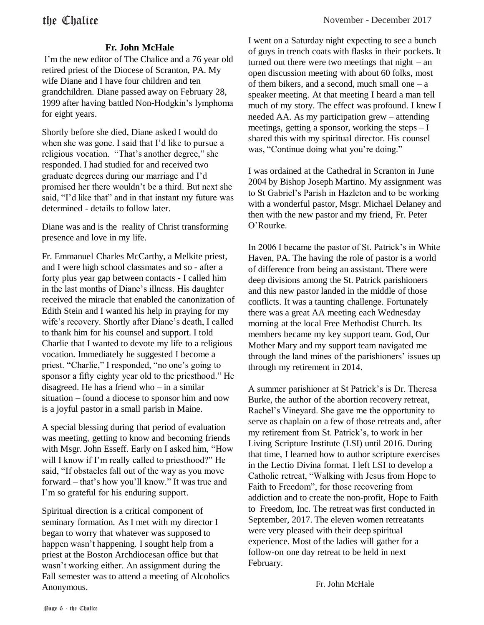#### **Fr. John McHale**

I'm the new editor of The Chalice and a 76 year old retired priest of the Diocese of Scranton, PA. My wife Diane and I have four children and ten grandchildren. Diane passed away on February 28, 1999 after having battled Non-Hodgkin's lymphoma for eight years.

Shortly before she died, Diane asked I would do when she was gone. I said that I'd like to pursue a religious vocation. "That's another degree," she responded. I had studied for and received two graduate degrees during our marriage and I'd promised her there wouldn't be a third. But next she said, "I'd like that" and in that instant my future was determined - details to follow later.

Diane was and is the reality of Christ transforming presence and love in my life.

Fr. Emmanuel Charles McCarthy, a Melkite priest, and I were high school classmates and so - after a forty plus year gap between contacts - I called him in the last months of Diane's illness. His daughter received the miracle that enabled the canonization of Edith Stein and I wanted his help in praying for my wife's recovery. Shortly after Diane's death, I called to thank him for his counsel and support. I told Charlie that I wanted to devote my life to a religious vocation. Immediately he suggested I become a priest. "Charlie," I responded, "no one's going to sponsor a fifty eighty year old to the priesthood." He disagreed. He has a friend who – in a similar situation – found a diocese to sponsor him and now is a joyful pastor in a small parish in Maine.

A special blessing during that period of evaluation was meeting, getting to know and becoming friends with Msgr. John Esseff. Early on I asked him, "How will I know if I'm really called to priesthood?" He said, "If obstacles fall out of the way as you move forward – that's how you'll know." It was true and I'm so grateful for his enduring support.

Spiritual direction is a critical component of seminary formation. As I met with my director I began to worry that whatever was supposed to happen wasn't happening. I sought help from a priest at the Boston Archdiocesan office but that wasn't working either. An assignment during the Fall semester was to attend a meeting of Alcoholics Anonymous.

I went on a Saturday night expecting to see a bunch of guys in trench coats with flasks in their pockets. It turned out there were two meetings that night  $-$  an open discussion meeting with about 60 folks, most of them bikers, and a second, much small one  $-a$ speaker meeting. At that meeting I heard a man tell much of my story. The effect was profound. I knew I needed AA. As my participation grew – attending meetings, getting a sponsor, working the steps  $-I$ shared this with my spiritual director. His counsel was, "Continue doing what you're doing."

I was ordained at the Cathedral in Scranton in June 2004 by Bishop Joseph Martino. My assignment was to St Gabriel's Parish in Hazleton and to be working with a wonderful pastor, Msgr. Michael Delaney and then with the new pastor and my friend, Fr. Peter O'Rourke.

In 2006 I became the pastor of St. Patrick's in White Haven, PA. The having the role of pastor is a world of difference from being an assistant. There were deep divisions among the St. Patrick parishioners and this new pastor landed in the middle of those conflicts. It was a taunting challenge. Fortunately there was a great AA meeting each Wednesday morning at the local Free Methodist Church. Its members became my key support team. God, Our Mother Mary and my support team navigated me through the land mines of the parishioners' issues up through my retirement in 2014.

A summer parishioner at St Patrick's is Dr. Theresa Burke, the author of the abortion recovery retreat, Rachel's Vineyard. She gave me the opportunity to serve as chaplain on a few of those retreats and, after my retirement from St. Patrick's, to work in her Living Scripture Institute (LSI) until 2016. During that time, I learned how to author scripture exercises in the Lectio Divina format. I left LSI to develop a Catholic retreat, "Walking with Jesus from Hope to Faith to Freedom", for those recovering from addiction and to create the non-profit, Hope to Faith to Freedom, Inc. The retreat was first conducted in September, 2017. The eleven women retreatants were very pleased with their deep spiritual experience. Most of the ladies will gather for a follow-on one day retreat to be held in next February.

Fr. John McHale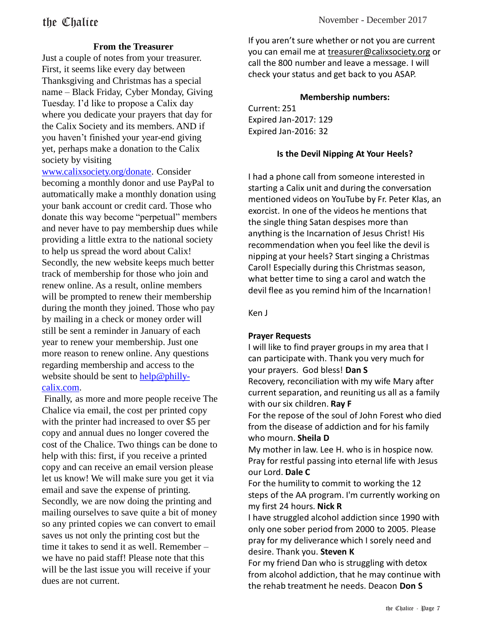## the Chalice

## **From the Treasurer**

Just a couple of notes from your treasurer. First, it seems like every day between Thanksgiving and Christmas has a special name – Black Friday, Cyber Monday, Giving Tuesday. I'd like to propose a Calix day where you dedicate your prayers that day for the Calix Society and its members. AND if you haven't finished your year-end giving yet, perhaps make a donation to the Calix society by visiting

[www.calixsociety.org/donate.](http://www.calixsociety.org/donate) Consider becoming a monthly donor and use PayPal to automatically make a monthly donation using your bank account or credit card. Those who donate this way become "perpetual" members and never have to pay membership dues while providing a little extra to the national society to help us spread the word about Calix! Secondly, the new website keeps much better track of membership for those who join and renew online. As a result, online members will be prompted to renew their membership during the month they joined. Those who pay by mailing in a check or money order will still be sent a reminder in January of each year to renew your membership. Just one more reason to renew online. Any questions regarding membership and access to the website should be sent to  $\text{help@phily--}$ [calix.com](mailto:help@philly-calix.com).

Finally, as more and more people receive The Chalice via email, the cost per printed copy with the printer had increased to over \$5 per copy and annual dues no longer covered the cost of the Chalice. Two things can be done to help with this: first, if you receive a printed copy and can receive an email version please let us know! We will make sure you get it via email and save the expense of printing. Secondly, we are now doing the printing and mailing ourselves to save quite a bit of money so any printed copies we can convert to email saves us not only the printing cost but the time it takes to send it as well. Remember – we have no paid staff! Please note that this will be the last issue you will receive if your dues are not current.

If you aren't sure whether or not you are current you can email me at treasurer@calixsociety.org or call the 800 number and leave a message. I will check your status and get back to you ASAP.

#### **Membership numbers:**

Current: 251 Expired Jan-2017: 129 Expired Jan-2016: 32

#### **Is the Devil Nipping At Your Heels?**

I had a phone call from someone interested in starting a Calix unit and during the conversation mentioned videos on YouTube by Fr. Peter Klas, an exorcist. In one of the videos he mentions that the single thing Satan despises more than anything is the Incarnation of Jesus Christ! His recommendation when you feel like the devil is nipping at your heels? Start singing a Christmas Carol! Especially during this Christmas season, what better time to sing a carol and watch the devil flee as you remind him of the Incarnation!

Ken J

#### **Prayer Requests**

I will like to find prayer groups in my area that I can participate with. Thank you very much for your prayers. God bless! **Dan S**  Recovery, reconciliation with my wife Mary after current separation, and reuniting us all as a family with our six children. **Ray F** For the repose of the soul of John Forest who died from the disease of addiction and for his family who mourn. **Sheila D**  My mother in law. Lee H. who is in hospice now. Pray for restful passing into eternal life with Jesus our Lord. **Dale C**  For the humility to commit to working the 12 steps of the AA program. I'm currently working on my first 24 hours. **Nick R**  I have struggled alcohol addiction since 1990 with only one sober period from 2000 to 2005. Please pray for my deliverance which I sorely need and desire. Thank you. **Steven K**

For my friend Dan who is struggling with detox from alcohol addiction, that he may continue with the rehab treatment he needs. Deacon **Don S**